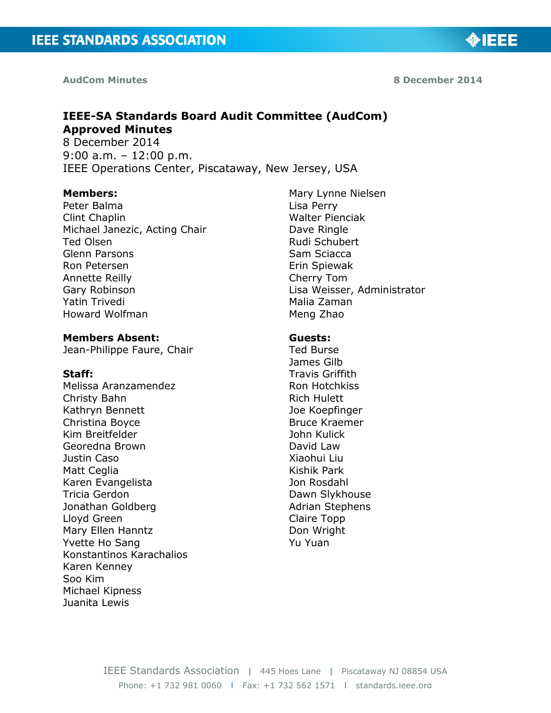**AudCom Minutes 8 December 2014**

◈IEEE

# **IEEE-SA Standards Board Audit Committee (AudCom) Approved Minutes**

8 December 2014 9:00 a.m. – 12:00 p.m. IEEE Operations Center, Piscataway, New Jersey, USA

#### **Members:**

Peter Balma Clint Chaplin Michael Janezic, Acting Chair Ted Olsen Glenn Parsons Ron Petersen Annette Reilly Gary Robinson Yatin Trivedi Howard Wolfman

### **Members Absent:**

Jean-Philippe Faure, Chair

#### **Staff:**

Melissa Aranzamendez Christy Bahn Kathryn Bennett Christina Boyce Kim Breitfelder Georedna Brown Justin Caso Matt Ceglia Karen Evangelista Tricia Gerdon Jonathan Goldberg Lloyd Green Mary Ellen Hanntz Yvette Ho Sang Konstantinos Karachalios Karen Kenney Soo Kim Michael Kipness Juanita Lewis

Mary Lynne Nielsen Lisa Perry Walter Pienciak Dave Ringle Rudi Schubert Sam Sciacca Erin Spiewak Cherry Tom Lisa Weisser, Administrator Malia Zaman Meng Zhao

#### **Guests:**

Ted Burse James Gilb Travis Griffith Ron Hotchkiss Rich Hulett Joe Koepfinger Bruce Kraemer John Kulick David Law Xiaohui Liu Kishik Park Jon Rosdahl Dawn Slykhouse Adrian Stephens Claire Topp Don Wright Yu Yuan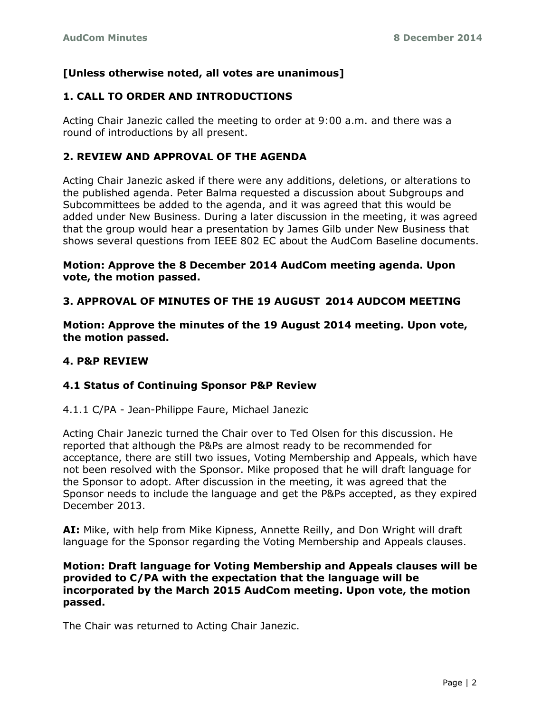# **[Unless otherwise noted, all votes are unanimous]**

# **1. CALL TO ORDER AND INTRODUCTIONS**

Acting Chair Janezic called the meeting to order at 9:00 a.m. and there was a round of introductions by all present.

## **2. REVIEW AND APPROVAL OF THE AGENDA**

Acting Chair Janezic asked if there were any additions, deletions, or alterations to the published agenda. Peter Balma requested a discussion about Subgroups and Subcommittees be added to the agenda, and it was agreed that this would be added under New Business. During a later discussion in the meeting, it was agreed that the group would hear a presentation by James Gilb under New Business that shows several questions from IEEE 802 EC about the AudCom Baseline documents.

### **Motion: Approve the 8 December 2014 AudCom meeting agenda. Upon vote, the motion passed.**

# **3. APPROVAL OF MINUTES OF THE 19 AUGUST 2014 AUDCOM MEETING**

**Motion: Approve the minutes of the 19 August 2014 meeting. Upon vote, the motion passed.**

### **4. P&P REVIEW**

## **4.1 Status of Continuing Sponsor P&P Review**

4.1.1 C/PA - Jean-Philippe Faure, Michael Janezic

Acting Chair Janezic turned the Chair over to Ted Olsen for this discussion. He reported that although the P&Ps are almost ready to be recommended for acceptance, there are still two issues, Voting Membership and Appeals, which have not been resolved with the Sponsor. Mike proposed that he will draft language for the Sponsor to adopt. After discussion in the meeting, it was agreed that the Sponsor needs to include the language and get the P&Ps accepted, as they expired December 2013.

**AI:** Mike, with help from Mike Kipness, Annette Reilly, and Don Wright will draft language for the Sponsor regarding the Voting Membership and Appeals clauses.

#### **Motion: Draft language for Voting Membership and Appeals clauses will be provided to C/PA with the expectation that the language will be incorporated by the March 2015 AudCom meeting. Upon vote, the motion passed.**

The Chair was returned to Acting Chair Janezic.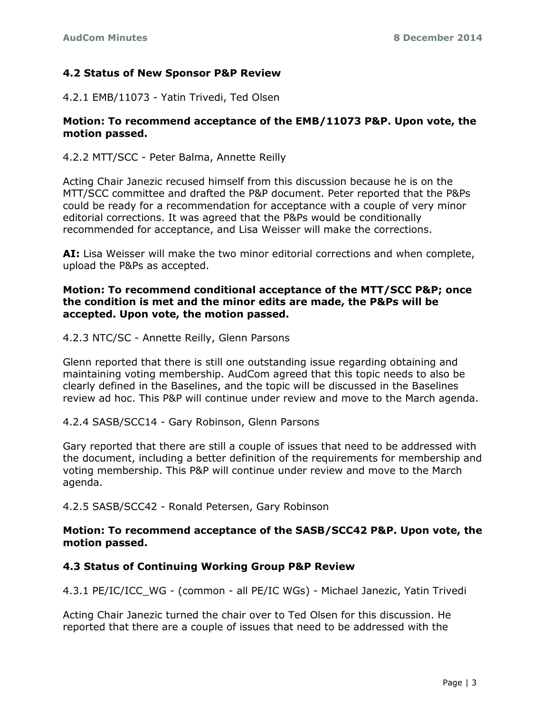### **4.2 Status of New Sponsor P&P Review**

4.2.1 EMB/11073 - Yatin Trivedi, Ted Olsen

### **Motion: To recommend acceptance of the EMB/11073 P&P. Upon vote, the motion passed.**

4.2.2 MTT/SCC - Peter Balma, Annette Reilly

Acting Chair Janezic recused himself from this discussion because he is on the MTT/SCC committee and drafted the P&P document. Peter reported that the P&Ps could be ready for a recommendation for acceptance with a couple of very minor editorial corrections. It was agreed that the P&Ps would be conditionally recommended for acceptance, and Lisa Weisser will make the corrections.

**AI:** Lisa Weisser will make the two minor editorial corrections and when complete, upload the P&Ps as accepted.

### **Motion: To recommend conditional acceptance of the MTT/SCC P&P; once the condition is met and the minor edits are made, the P&Ps will be accepted. Upon vote, the motion passed.**

#### 4.2.3 NTC/SC - Annette Reilly, Glenn Parsons

Glenn reported that there is still one outstanding issue regarding obtaining and maintaining voting membership. AudCom agreed that this topic needs to also be clearly defined in the Baselines, and the topic will be discussed in the Baselines review ad hoc. This P&P will continue under review and move to the March agenda.

### 4.2.4 SASB/SCC14 - Gary Robinson, Glenn Parsons

Gary reported that there are still a couple of issues that need to be addressed with the document, including a better definition of the requirements for membership and voting membership. This P&P will continue under review and move to the March agenda.

4.2.5 SASB/SCC42 - Ronald Petersen, Gary Robinson

### **Motion: To recommend acceptance of the SASB/SCC42 P&P. Upon vote, the motion passed.**

### **4.3 Status of Continuing Working Group P&P Review**

4.3.1 PE/IC/ICC\_WG - (common - all PE/IC WGs) - Michael Janezic, Yatin Trivedi

Acting Chair Janezic turned the chair over to Ted Olsen for this discussion. He reported that there are a couple of issues that need to be addressed with the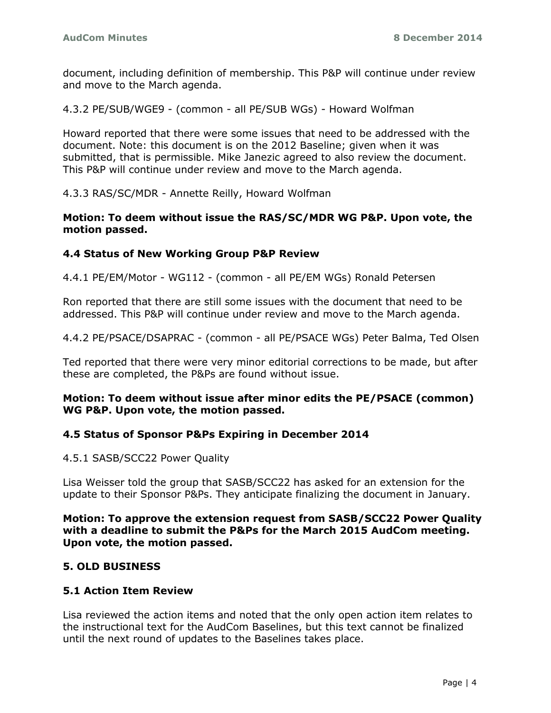document, including definition of membership. This P&P will continue under review and move to the March agenda.

4.3.2 PE/SUB/WGE9 - (common - all PE/SUB WGs) - Howard Wolfman

Howard reported that there were some issues that need to be addressed with the document. Note: this document is on the 2012 Baseline; given when it was submitted, that is permissible. Mike Janezic agreed to also review the document. This P&P will continue under review and move to the March agenda.

4.3.3 RAS/SC/MDR - Annette Reilly, Howard Wolfman

#### **Motion: To deem without issue the RAS/SC/MDR WG P&P. Upon vote, the motion passed.**

### **4.4 Status of New Working Group P&P Review**

4.4.1 PE/EM/Motor - WG112 - (common - all PE/EM WGs) Ronald Petersen

Ron reported that there are still some issues with the document that need to be addressed. This P&P will continue under review and move to the March agenda.

4.4.2 PE/PSACE/DSAPRAC - (common - all PE/PSACE WGs) Peter Balma, Ted Olsen

Ted reported that there were very minor editorial corrections to be made, but after these are completed, the P&Ps are found without issue.

### **Motion: To deem without issue after minor edits the PE/PSACE (common) WG P&P. Upon vote, the motion passed.**

### **4.5 Status of Sponsor P&Ps Expiring in December 2014**

4.5.1 SASB/SCC22 Power Quality

Lisa Weisser told the group that SASB/SCC22 has asked for an extension for the update to their Sponsor P&Ps. They anticipate finalizing the document in January.

**Motion: To approve the extension request from SASB/SCC22 Power Quality with a deadline to submit the P&Ps for the March 2015 AudCom meeting. Upon vote, the motion passed.**

### **5. OLD BUSINESS**

### **5.1 Action Item Review**

Lisa reviewed the action items and noted that the only open action item relates to the instructional text for the AudCom Baselines, but this text cannot be finalized until the next round of updates to the Baselines takes place.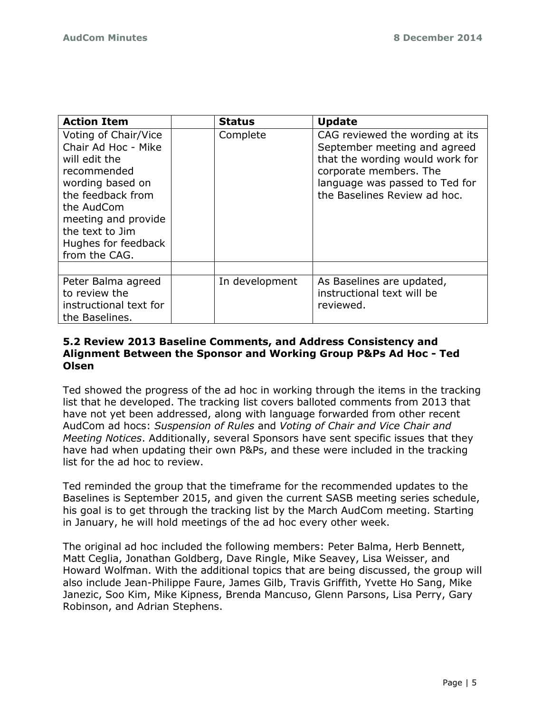| <b>Action Item</b>                                                                                                                                                                                                   | <b>Status</b>  | <b>Update</b>                                                                                                                                                                                  |
|----------------------------------------------------------------------------------------------------------------------------------------------------------------------------------------------------------------------|----------------|------------------------------------------------------------------------------------------------------------------------------------------------------------------------------------------------|
| Voting of Chair/Vice<br>Chair Ad Hoc - Mike<br>will edit the<br>recommended<br>wording based on<br>the feedback from<br>the AudCom<br>meeting and provide<br>the text to Jim<br>Hughes for feedback<br>from the CAG. | Complete       | CAG reviewed the wording at its<br>September meeting and agreed<br>that the wording would work for<br>corporate members. The<br>language was passed to Ted for<br>the Baselines Review ad hoc. |
|                                                                                                                                                                                                                      |                |                                                                                                                                                                                                |
| Peter Balma agreed<br>to review the<br>instructional text for<br>the Baselines.                                                                                                                                      | In development | As Baselines are updated,<br>instructional text will be<br>reviewed.                                                                                                                           |

### **5.2 Review 2013 Baseline Comments, and Address Consistency and Alignment Between the Sponsor and Working Group P&Ps Ad Hoc - Ted Olsen**

Ted showed the progress of the ad hoc in working through the items in the tracking list that he developed. The tracking list covers balloted comments from 2013 that have not yet been addressed, along with language forwarded from other recent AudCom ad hocs: *Suspension of Rules* and *Voting of Chair and Vice Chair and Meeting Notices*. Additionally, several Sponsors have sent specific issues that they have had when updating their own P&Ps, and these were included in the tracking list for the ad hoc to review.

Ted reminded the group that the timeframe for the recommended updates to the Baselines is September 2015, and given the current SASB meeting series schedule, his goal is to get through the tracking list by the March AudCom meeting. Starting in January, he will hold meetings of the ad hoc every other week.

The original ad hoc included the following members: Peter Balma, Herb Bennett, Matt Ceglia, Jonathan Goldberg, Dave Ringle, Mike Seavey, Lisa Weisser, and Howard Wolfman. With the additional topics that are being discussed, the group will also include Jean-Philippe Faure, James Gilb, Travis Griffith, Yvette Ho Sang, Mike Janezic, Soo Kim, Mike Kipness, Brenda Mancuso, Glenn Parsons, Lisa Perry, Gary Robinson, and Adrian Stephens.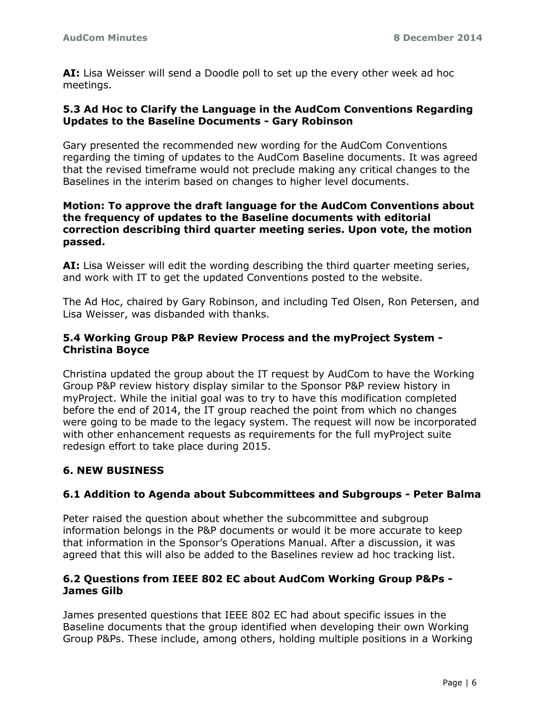**AI:** Lisa Weisser will send a Doodle poll to set up the every other week ad hoc meetings.

### **5.3 Ad Hoc to Clarify the Language in the AudCom Conventions Regarding Updates to the Baseline Documents - Gary Robinson**

Gary presented the recommended new wording for the AudCom Conventions regarding the timing of updates to the AudCom Baseline documents. It was agreed that the revised timeframe would not preclude making any critical changes to the Baselines in the interim based on changes to higher level documents.

### **Motion: To approve the draft language for the AudCom Conventions about the frequency of updates to the Baseline documents with editorial correction describing third quarter meeting series. Upon vote, the motion passed.**

**AI:** Lisa Weisser will edit the wording describing the third quarter meeting series, and work with IT to get the updated Conventions posted to the website.

The Ad Hoc, chaired by Gary Robinson, and including Ted Olsen, Ron Petersen, and Lisa Weisser, was disbanded with thanks.

## **5.4 Working Group P&P Review Process and the myProject System - Christina Boyce**

Christina updated the group about the IT request by AudCom to have the Working Group P&P review history display similar to the Sponsor P&P review history in myProject. While the initial goal was to try to have this modification completed before the end of 2014, the IT group reached the point from which no changes were going to be made to the legacy system. The request will now be incorporated with other enhancement requests as requirements for the full myProject suite redesign effort to take place during 2015.

# **6. NEW BUSINESS**

## **6.1 Addition to Agenda about Subcommittees and Subgroups - Peter Balma**

Peter raised the question about whether the subcommittee and subgroup information belongs in the P&P documents or would it be more accurate to keep that information in the Sponsor's Operations Manual. After a discussion, it was agreed that this will also be added to the Baselines review ad hoc tracking list.

### **6.2 Questions from IEEE 802 EC about AudCom Working Group P&Ps - James Gilb**

James presented questions that IEEE 802 EC had about specific issues in the Baseline documents that the group identified when developing their own Working Group P&Ps. These include, among others, holding multiple positions in a Working